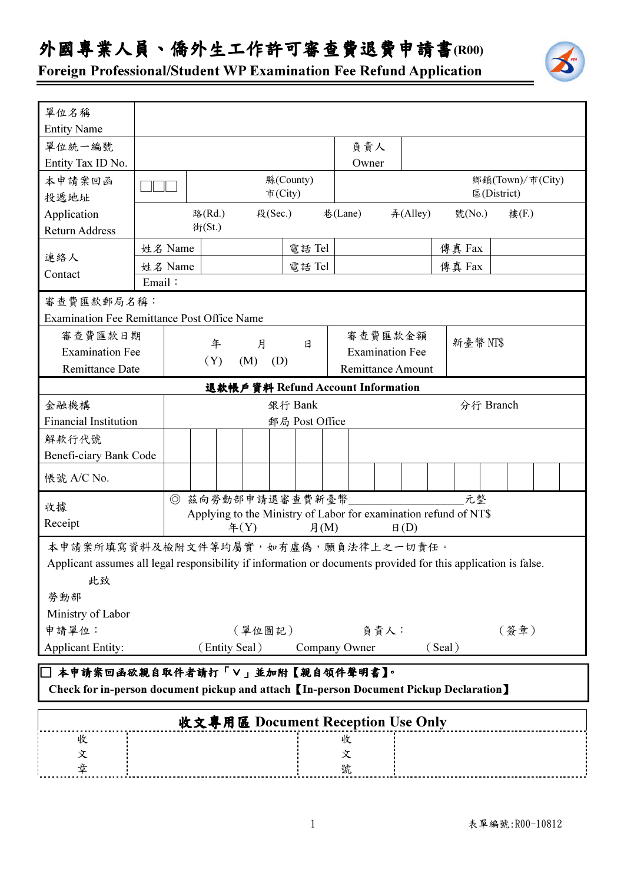## 外國專業人員、僑外生工作許可審查費退費申請書(R00)



Foreign Professional/Student WP Examination Fee Refund Application

| 單位名稱                                                                                                                     |                                                                      |                                                                  |                      |  |         |  |                |         |                          |  |          |           |             |  |                  |  |  |
|--------------------------------------------------------------------------------------------------------------------------|----------------------------------------------------------------------|------------------------------------------------------------------|----------------------|--|---------|--|----------------|---------|--------------------------|--|----------|-----------|-------------|--|------------------|--|--|
| <b>Entity Name</b>                                                                                                       |                                                                      |                                                                  |                      |  |         |  |                |         |                          |  |          |           |             |  |                  |  |  |
| 單位統一編號                                                                                                                   |                                                                      |                                                                  |                      |  |         |  |                | 負責人     |                          |  |          |           |             |  |                  |  |  |
| Entity Tax ID No.                                                                                                        |                                                                      |                                                                  |                      |  |         |  |                |         | Owner                    |  |          |           |             |  |                  |  |  |
| 本申請案回函                                                                                                                   |                                                                      |                                                                  | 縣(County)<br>市(City) |  |         |  |                |         |                          |  |          |           |             |  | 鄉鎮(Town)/市(City) |  |  |
| 投遞地址                                                                                                                     |                                                                      |                                                                  |                      |  |         |  |                |         |                          |  |          |           | 區(District) |  |                  |  |  |
| Application                                                                                                              |                                                                      |                                                                  | 路(Rd.)               |  | 段(Sec.) |  |                | 巷(Lane) |                          |  | #(Alley) |           | 號(No.)      |  | 樓(F.)            |  |  |
| <b>Return Address</b>                                                                                                    |                                                                      |                                                                  | 街(St.)               |  |         |  |                |         |                          |  |          |           |             |  |                  |  |  |
| 連絡人                                                                                                                      | 姓名 Name                                                              |                                                                  |                      |  |         |  | 電話 Tel         |         |                          |  |          |           | 傳真 Fax      |  |                  |  |  |
| Contact                                                                                                                  | 姓名 Name                                                              | 電話Tel                                                            |                      |  |         |  |                |         |                          |  |          | 傳真 Fax    |             |  |                  |  |  |
|                                                                                                                          | Email:                                                               |                                                                  |                      |  |         |  |                |         |                          |  |          |           |             |  |                  |  |  |
| 審查費匯款郵局名稱:                                                                                                               |                                                                      |                                                                  |                      |  |         |  |                |         |                          |  |          |           |             |  |                  |  |  |
| <b>Examination Fee Remittance Post Office Name</b>                                                                       |                                                                      |                                                                  |                      |  |         |  |                |         |                          |  |          |           |             |  |                  |  |  |
| 審查費匯款日期                                                                                                                  |                                                                      |                                                                  |                      |  | 月       |  | 日              |         | 審查費匯款金額                  |  |          |           | 新臺幣 NT\$    |  |                  |  |  |
| <b>Examination Fee</b>                                                                                                   |                                                                      | 年<br>(Y)                                                         |                      |  |         |  |                |         | <b>Examination Fee</b>   |  |          |           |             |  |                  |  |  |
| <b>Remittance Date</b>                                                                                                   |                                                                      |                                                                  | (M)<br>(D)           |  |         |  |                |         | <b>Remittance Amount</b> |  |          |           |             |  |                  |  |  |
| 退款帳戶資料 Refund Account Information                                                                                        |                                                                      |                                                                  |                      |  |         |  |                |         |                          |  |          |           |             |  |                  |  |  |
| 金融機構                                                                                                                     | 銀行 Bank                                                              |                                                                  |                      |  |         |  |                |         |                          |  |          | 分行 Branch |             |  |                  |  |  |
| <b>Financial Institution</b>                                                                                             |                                                                      |                                                                  |                      |  |         |  | 郵局 Post Office |         |                          |  |          |           |             |  |                  |  |  |
| 解款行代號                                                                                                                    |                                                                      |                                                                  |                      |  |         |  |                |         |                          |  |          |           |             |  |                  |  |  |
| Benefi-ciary Bank Code                                                                                                   |                                                                      |                                                                  |                      |  |         |  |                |         |                          |  |          |           |             |  |                  |  |  |
| 帳號 A/C No.                                                                                                               |                                                                      |                                                                  |                      |  |         |  |                |         |                          |  |          |           |             |  |                  |  |  |
| 收據                                                                                                                       |                                                                      | 元整<br>◎ 兹向勞動部申請退審查費新臺幣                                           |                      |  |         |  |                |         |                          |  |          |           |             |  |                  |  |  |
| Receipt                                                                                                                  |                                                                      | Applying to the Ministry of Labor for examination refund of NT\$ |                      |  |         |  |                |         |                          |  |          |           |             |  |                  |  |  |
| #(Y)<br>月 $(M)$<br>$\boxplus$ (D)<br>本申請案所填寫資料及檢附文件等均屬實,如有虛偽,願負法律上之一切責任。                                                 |                                                                      |                                                                  |                      |  |         |  |                |         |                          |  |          |           |             |  |                  |  |  |
|                                                                                                                          |                                                                      |                                                                  |                      |  |         |  |                |         |                          |  |          |           |             |  |                  |  |  |
| Applicant assumes all legal responsibility if information or documents provided for this application is false.           |                                                                      |                                                                  |                      |  |         |  |                |         |                          |  |          |           |             |  |                  |  |  |
| 此致                                                                                                                       |                                                                      |                                                                  |                      |  |         |  |                |         |                          |  |          |           |             |  |                  |  |  |
| 勞動部                                                                                                                      |                                                                      |                                                                  |                      |  |         |  |                |         |                          |  |          |           |             |  |                  |  |  |
| Ministry of Labor                                                                                                        |                                                                      |                                                                  |                      |  |         |  |                |         |                          |  |          |           |             |  |                  |  |  |
| 申請單位:                                                                                                                    |                                                                      | (單位圖記)<br>負責人:<br>(簽章)                                           |                      |  |         |  |                |         |                          |  |          |           |             |  |                  |  |  |
|                                                                                                                          | <b>Applicant Entity:</b><br>(Entity Seal)<br>Company Owner<br>(Seal) |                                                                  |                      |  |         |  |                |         |                          |  |          |           |             |  |                  |  |  |
| 本申請案回函欲親自取件者請打「V」並加附【親自領件聲明書】。<br>Check for in-person document pickup and attach [In-person Document Pickup Declaration] |                                                                      |                                                                  |                      |  |         |  |                |         |                          |  |          |           |             |  |                  |  |  |
| 收文專用區 Document Reception Use Only                                                                                        |                                                                      |                                                                  |                      |  |         |  |                |         |                          |  |          |           |             |  |                  |  |  |
| 收                                                                                                                        |                                                                      |                                                                  |                      |  |         |  |                | 收       |                          |  |          |           |             |  |                  |  |  |
| 文                                                                                                                        |                                                                      |                                                                  |                      |  |         |  |                | 文       |                          |  |          |           |             |  |                  |  |  |
| 章                                                                                                                        |                                                                      |                                                                  |                      |  |         |  |                | 號       |                          |  |          |           |             |  |                  |  |  |